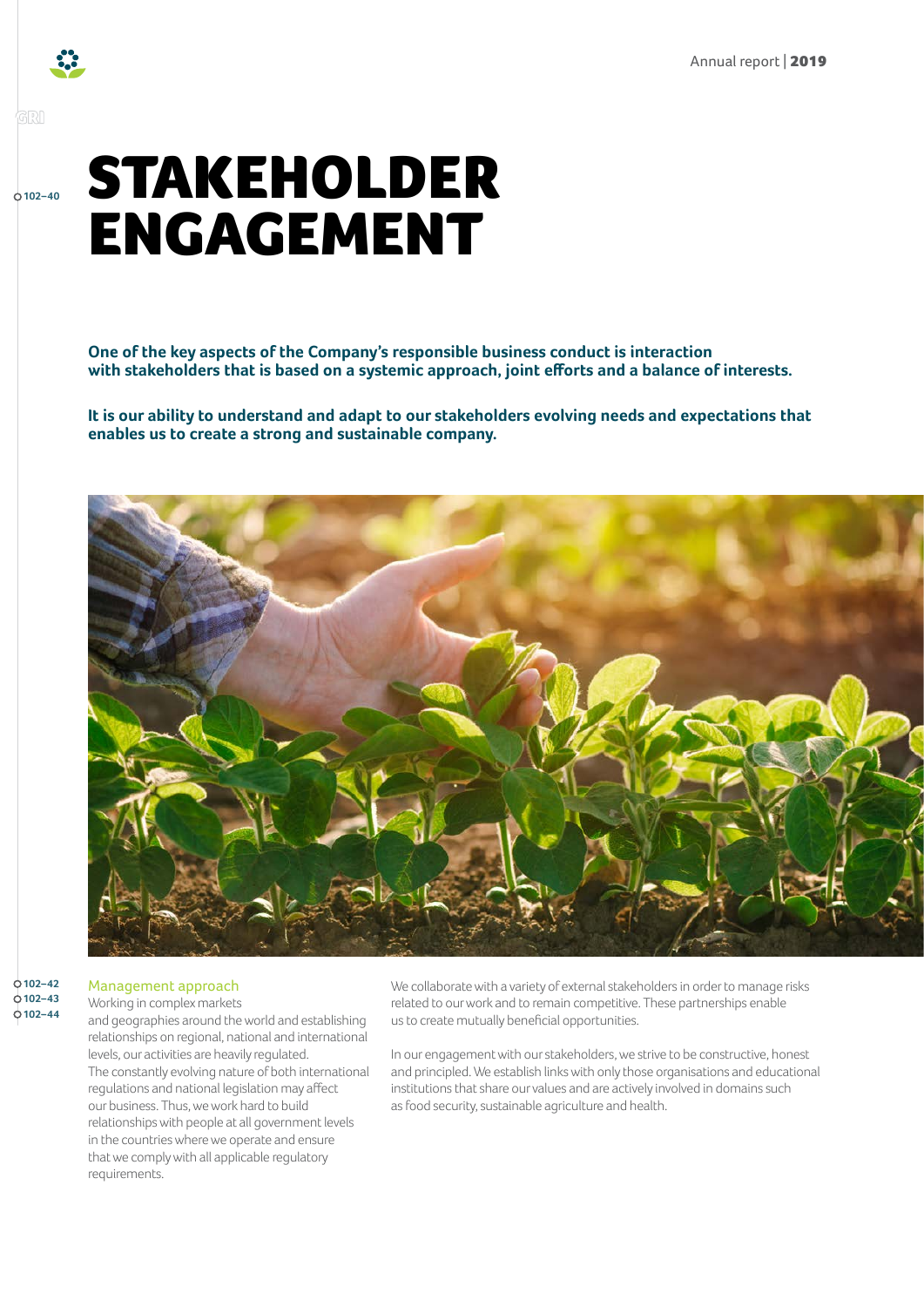

### GRI

**102–40**

# STAKEHOLDER ENGAGEMENT

**One of the key aspects of the Company's responsible business conduct is interaction with stakeholders that is based on a systemic approach, joint efforts and a balance of interests.**

**It is our ability to understand and adapt to our stakeholders evolving needs and expectations that enables us to create a strong and sustainable company.**



#### $0102 - 42$ **102–43 102–44**

#### Management approach Working in complex markets

and geographies around the world and establishing relationships on regional, national and international levels, our activities are heavily regulated. The constantly evolving nature of both international regulations and national legislation may affect our business. Thus, we work hard to build relationships with people at all government levels in the countries where we operate and ensure that we comply with all applicable regulatory requirements.

We collaborate with a variety of external stakeholders in order to manage risks related to our work and to remain competitive. These partnerships enable us to create mutually beneficial opportunities.

In our engagement with our stakeholders, we strive to be constructive, honest and principled. We establish links with only those organisations and educational institutions that share our values and are actively involved in domains such as food security, sustainable agriculture and health.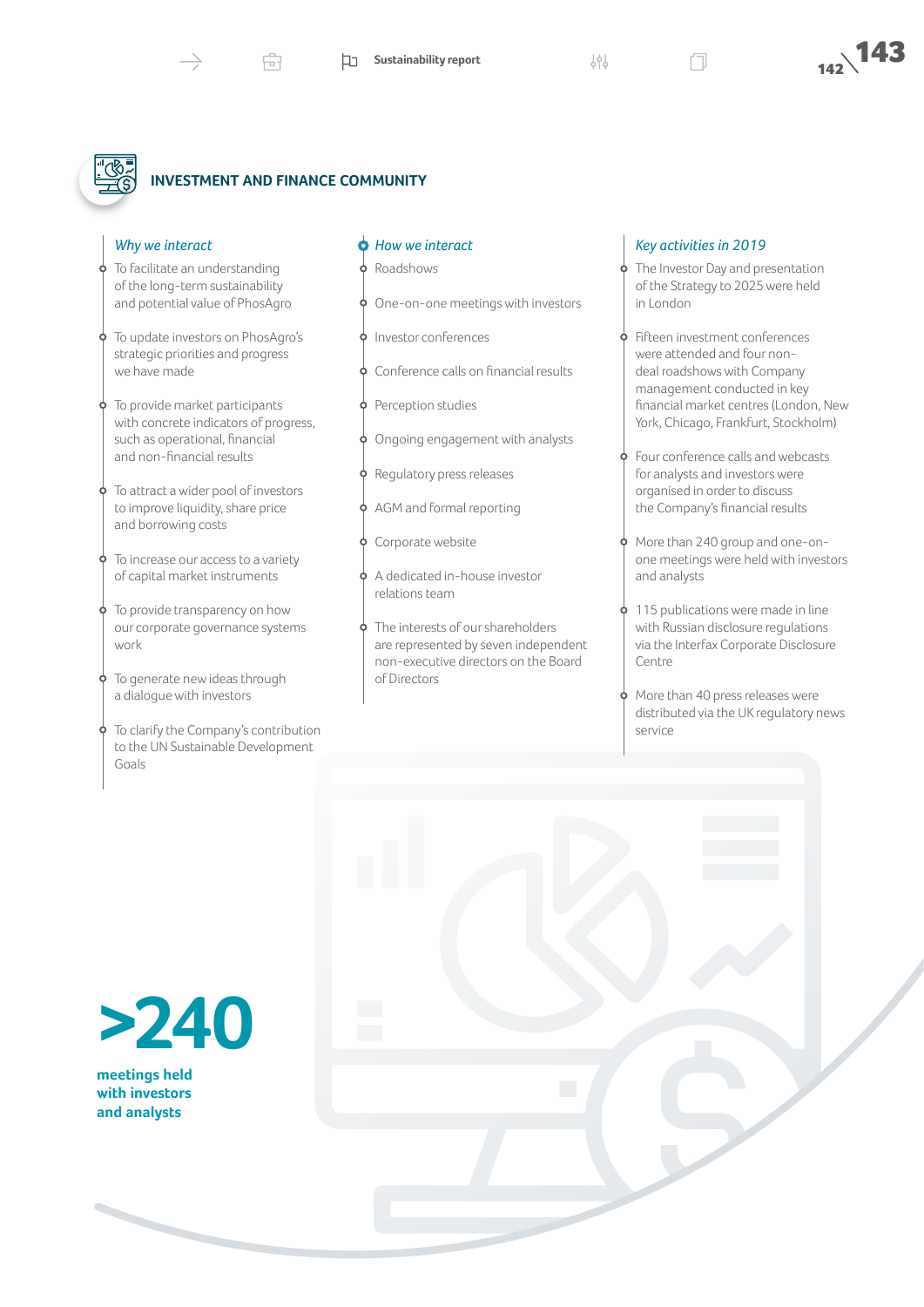## **INVESTMENT AND FINANCE COMMUNITY**

虛

#### *Why we interact*

- To facilitate an understanding of the long-term sustainability and potential value of PhosAgro
- To update investors on PhosAgro's strategic priorities and progress we have made
- To provide market participants with concrete indicators of progress, such as operational, financial and non-financial results
- To attract a wider pool of investors to improve liquidity, share price and borrowing costs
- To increase our access to a variety of capital market instruments
- To provide transparency on how our corporate governance systems work
- To generate new ideas through a dialogue with investors
- To clarify the Company's contribution to the UN Sustainable Development Goals

#### *How we interact*

- Roadshows
- One-on-one meetings with investors
- Investor conferences
- Conference calls on financial results
- Perception studies
- Ongoing engagement with analysts
- Regulatory press releases
- AGM and formal reporting
- Corporate website
- A dedicated in-house investor relations team
- The interests of our shareholders are represented by seven independent non-executive directors on the Board of Directors

#### *Key activities in 2019*

- The Investor Day and presentation of the Strategy to 2025 were held in London
- Fifteen investment conferences were attended and four nondeal roadshows with Company management conducted in key financial market centres (London, New York, Chicago, Frankfurt, Stockholm)
- Four conference calls and webcasts for analysts and investors were organised in order to discuss the Company's financial results
- More than 240 group and one-onone meetings were held with investors and analysts
- 115 publications were made in line with Russian disclosure regulations via the Interfax Corporate Disclosure Centre
- More than 40 press releases were distributed via the UK regulatory news service

**>240**

**meetings held with investors and analysts**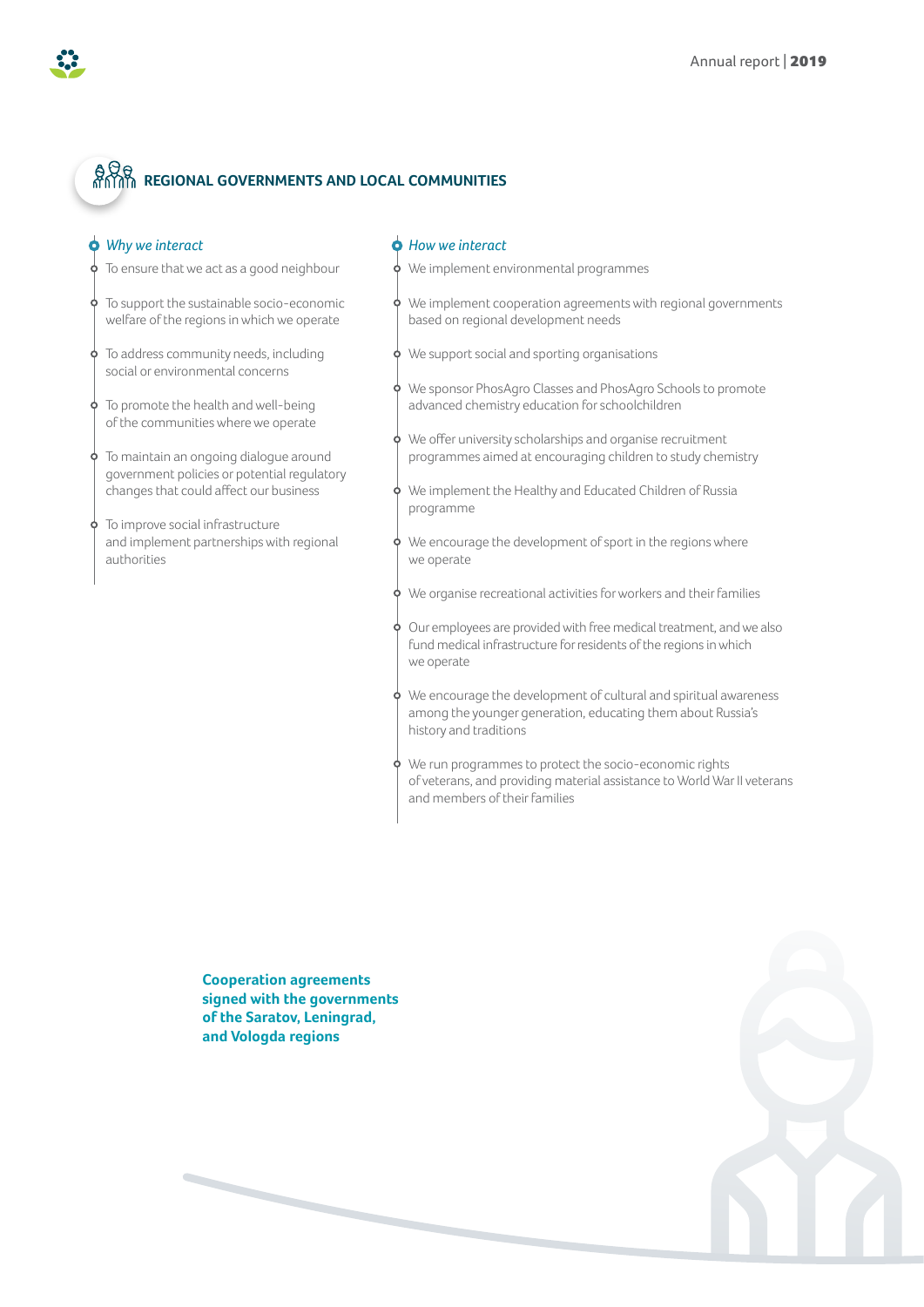## **REGIONAL GOVERNMENTS AND LOCAL COMMUNITIES**

#### *Why we interact*

- To ensure that we act as a good neighbour 6
- To support the sustainable socio-economic 9 welfare of the regions in which we operate
- $\phi$  To address community needs, including social or environmental concerns
- To promote the health and well-being of the communities where we operate
- $\phi$  To maintain an ongoing dialogue around government policies or potential regulatory changes that could affect our business
- $\phi$  To improve social infrastructure and implement partnerships with regional authorities

#### *How we interact*

- We implement environmental programmes
- We implement cooperation agreements with regional governments based on regional development needs
- We support social and sporting organisations
- We sponsor PhosAgro Classes and PhosAgro Schools to promote advanced chemistry education for schoolchildren
- We offer university scholarships and organise recruitment programmes aimed at encouraging children to study chemistry
- We implement the Healthy and Educated Children of Russia programme
- We encourage the development of sport in the regions where we operate
- We organise recreational activities for workers and their families
- Our employees are provided with free medical treatment, and we also fund medical infrastructure for residents of the regions in which we operate
- We encourage the development of cultural and spiritual awareness among the younger generation, educating them about Russia's history and traditions
- We run programmes to protect the socio-economic rights of veterans, and providing material assistance to World War II veterans and members of their families

**Cooperation agreements signed with the governments of the Saratov, Leningrad, and Vologda regions**

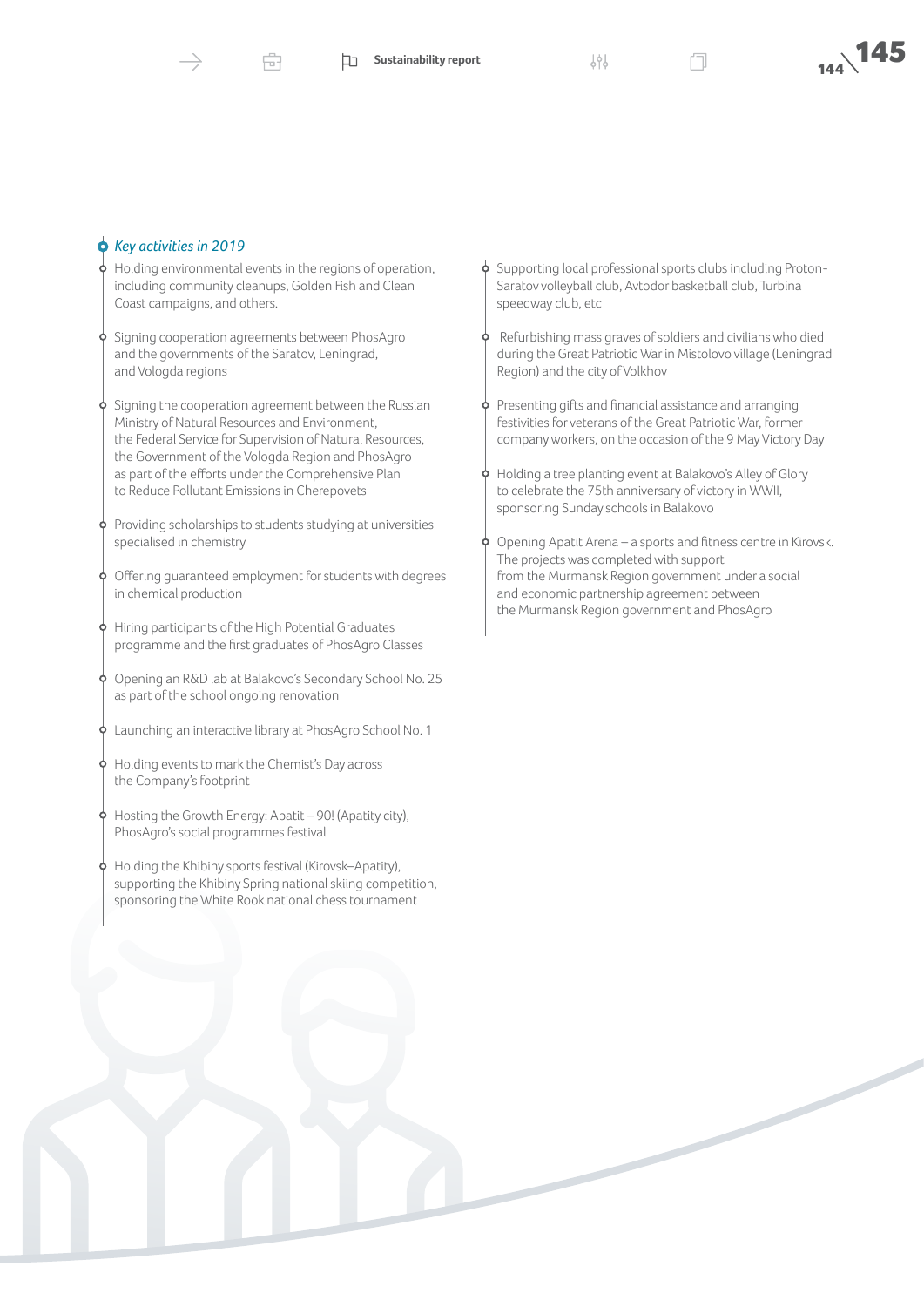#### *Key activities in 2019*

Holding environmental events in the regions of operation, including community cleanups, Golden Fish and Clean Coast campaigns, and others.

Æ

- Signing cooperation agreements between PhosAgro and the governments of the Saratov, Leningrad, and Vologda regions
- Signing the cooperation agreement between the Russian Ministry of Natural Resources and Environment, the Federal Service for Supervision of Natural Resources, the Government of the Vologda Region and PhosAgro as part of the efforts under the Comprehensive Plan to Reduce Pollutant Emissions in Cherepovets
- Providing scholarships to students studying at universities specialised in chemistry
- Offering guaranteed employment for students with degrees in chemical production
- Hiring participants of the High Potential Graduates programme and the first graduates of PhosAgro Сlasses
- Opening an R&D lab at Balakovo's Secondary School No. 25 as part of the school ongoing renovation
- Launching an interactive library at PhosAgro School No. 1
- Holding events to mark the Chemist's Day across the Company's footprint
- Hosting the Growth Energy: Apatit 90! (Apatity city), PhosAgro's social programmes festival
- Holding the Khibiny sports festival (Kirovsk–Apatity), supporting the Khibiny Spring national skiing competition, sponsoring the White Rook national chess tournament

 $\phi$  Supporting local professional sports clubs including Proton-Saratov volleyball club, Avtodor basketball club, Turbina speedway club, etc

- Refurbishing mass graves of soldiers and civilians who died during the Great Patriotic War in Mistolovo village (Leningrad Region) and the city of Volkhov
- Presenting gifts and financial assistance and arranging festivities for veterans of the Great Patriotic War, former company workers, on the occasion of the 9 May Victory Day
- Holding a tree planting event at Balakovo's Alley of Glory to celebrate the 75th anniversary of victory in WWII, sponsoring Sunday schools in Balakovo
- Opening Apatit Arena a sports and fitness centre in Kirovsk. The projects was completed with support from the Murmansk Region government under a social and economic partnership agreement between the Murmansk Region government and PhosAgro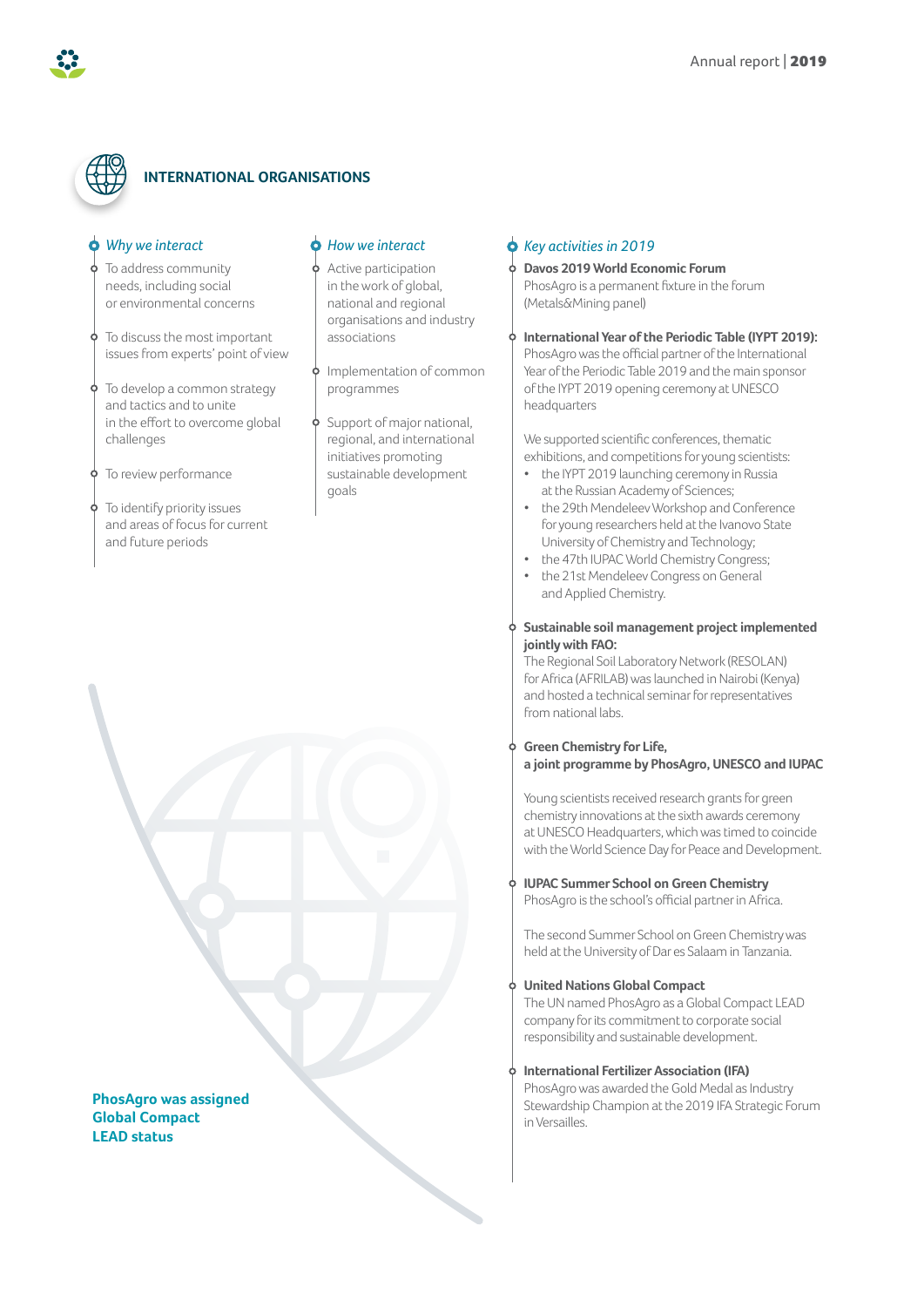

#### **INTERNATIONAL ORGANISATIONS**

#### *Why we interact*

- To address community needs, including social or environmental concerns
- To discuss the most important issues from experts' point of view
- $\phi$  To develop a common strategy and tactics and to unite in the effort to overcome global challenges

**P** To review performance

To identify priority issues and areas of focus for current and future periods

#### *How we interact*

Active participation in the work of global, national and regional organisations and industry associations

Implementation of common programmes

Support of major national, regional, and international initiatives promoting sustainable development goals

#### *Key activities in 2019*

#### **Davos 2019 World Economic Forum**

PhosAgro is a permanent fixture in the forum (Metals&Mining panel)

**International Year of the Periodic Table (IYPT 2019):** PhosAgro was the official partner of the International Year of the Periodic Table 2019 and the main sponsor of the IYPT 2019 opening ceremony at UNESCO headquarters

We supported scientific conferences, thematic exhibitions, and competitions for young scientists:

- the IYPT 2019 launching ceremony in Russia at the Russian Academy of Sciences;
- the 29th Mendeleev Workshop and Conference for young researchers held at the Ivanovo State University of Chemistry and Technology;
- the 47th IUPAC World Chemistry Congress;
- the 21st Mendeleev Congress on General and Applied Chemistry.

#### **Sustainable soil management project implemented jointly with FAO:**

The Regional Soil Laboratory Network (RESOLAN) for Africa (AFRILAB) was launched in Nairobi (Kenya) and hosted a technical seminar for representatives from national labs.

#### **Green Chemistry for Life, a joint programme by PhosAgro, UNESCO and IUPAC**

Young scientists received research grants for green chemistry innovations at the sixth awards ceremony at UNESCO Headquarters, which was timed to coincide with the World Science Day for Peace and Development.

**IUPAC Summer School on Green Chemistry**

PhosAgro is the school's official partner in Africa.

The second Summer School on Green Chemistry was held at the University of Dar es Salaam in Tanzania.

#### **United Nations Global Compact**

The UN named PhosAgro as a Global Compact LEAD company for its commitment to corporate social responsibility and sustainable development.

#### **International Fertilizer Association (IFA)**

PhosAgro was awarded the Gold Medal as Industry Stewardship Champion at the 2019 IFA Strategic Forum in Versailles.

**PhosAgro was assigned Global Compact LEAD status**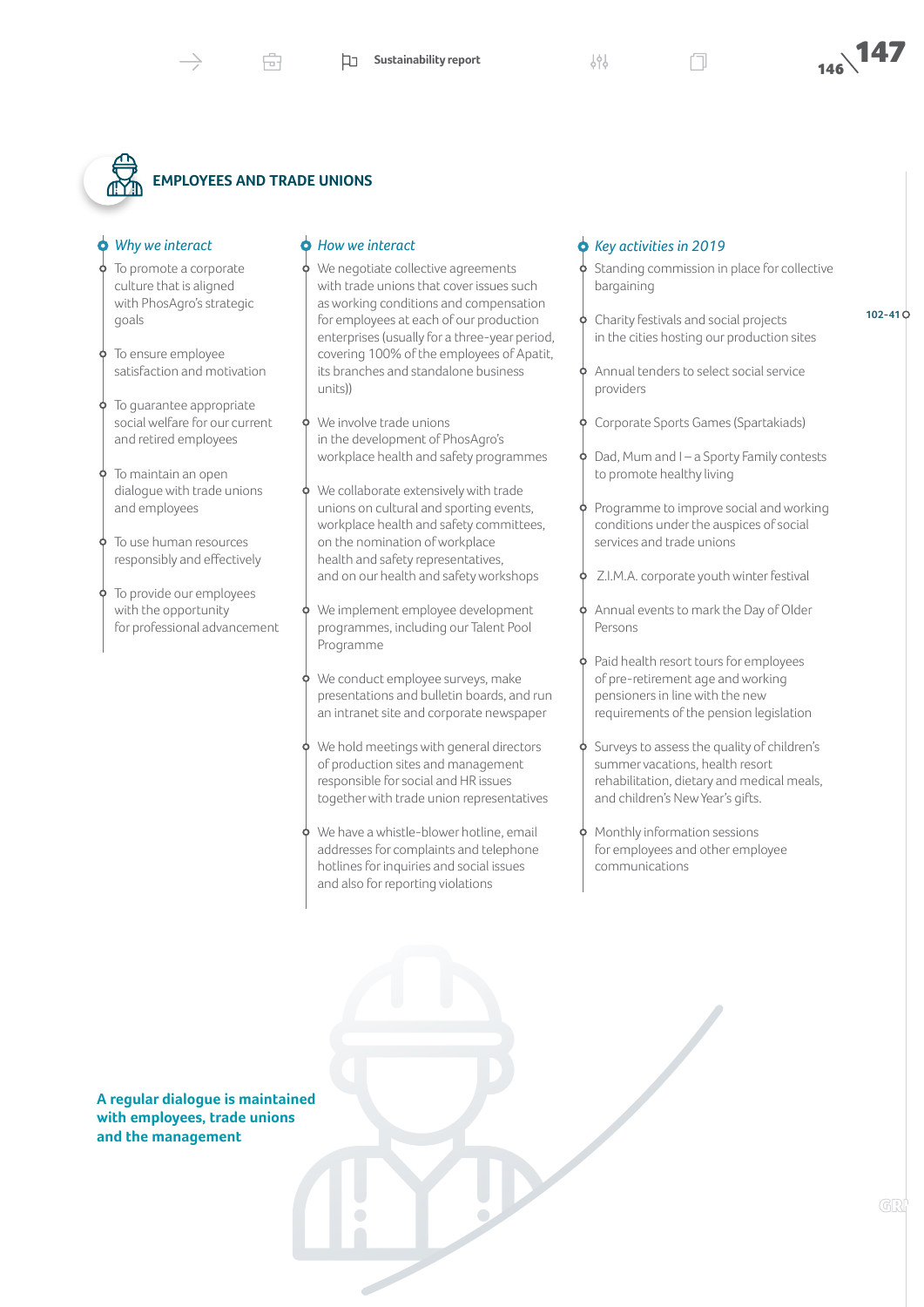**102-41**

## **EMPLOYEES AND TRADE UNIONS**

#### *Why we interact*

- To promote a corporate culture that is aligned with PhosAgro's strategic goals
- To ensure employee satisfaction and motivation
- To guarantee appropriate social welfare for our current and retired employees
- To maintain an open dialogue with trade unions and employees
- To use human resources responsibly and effectively
- To provide our employees with the opportunity for professional advancement

#### *How we interact*

- We negotiate collective agreements with trade unions that cover issues such as working conditions and compensation for employees at each of our production enterprises (usually for a three-year period, covering 100% of the employees of Apatit, its branches and standalone business units))
- We involve trade unions in the development of PhosAgro's workplace health and safety programmes
- We collaborate extensively with trade unions on cultural and sporting events, workplace health and safety committees, on the nomination of workplace health and safety representatives, and on our health and safety workshops
- We implement employee development programmes, including our Talent Pool Programme
- We conduct employee surveys, make presentations and bulletin boards, and run an intranet site and corporate newspaper
- We hold meetings with general directors of production sites and management responsible for social and HR issues together with trade union representatives
- We have a whistle-blower hotline, email addresses for complaints and telephone hotlines for inquiries and social issues and also for reporting violations

#### *Key activities in 2019*

Standing commission in place for collective bargaining

- Charity festivals and social projects in the cities hosting our production sites
- Annual tenders to select social service providers
- Corporate Sports Games (Spartakiads)
- Dad, Mum and I a Sporty Family contests to promote healthy living
- Programme to improve social and working conditions under the auspices of social services and trade unions
- Z.I.M.A. corporate youth winter festival
- Annual events to mark the Day of Older Persons
- Paid health resort tours for employees of pre-retirement age and working pensioners in line with the new requirements of the pension legislation
- Surveys to assess the quality of children's summer vacations, health resort rehabilitation, dietary and medical meals, and children's New Year's gifts.
- Monthly information sessions for employees and other employee communications

**A regular dialogue is maintained with employees, trade unions and the management**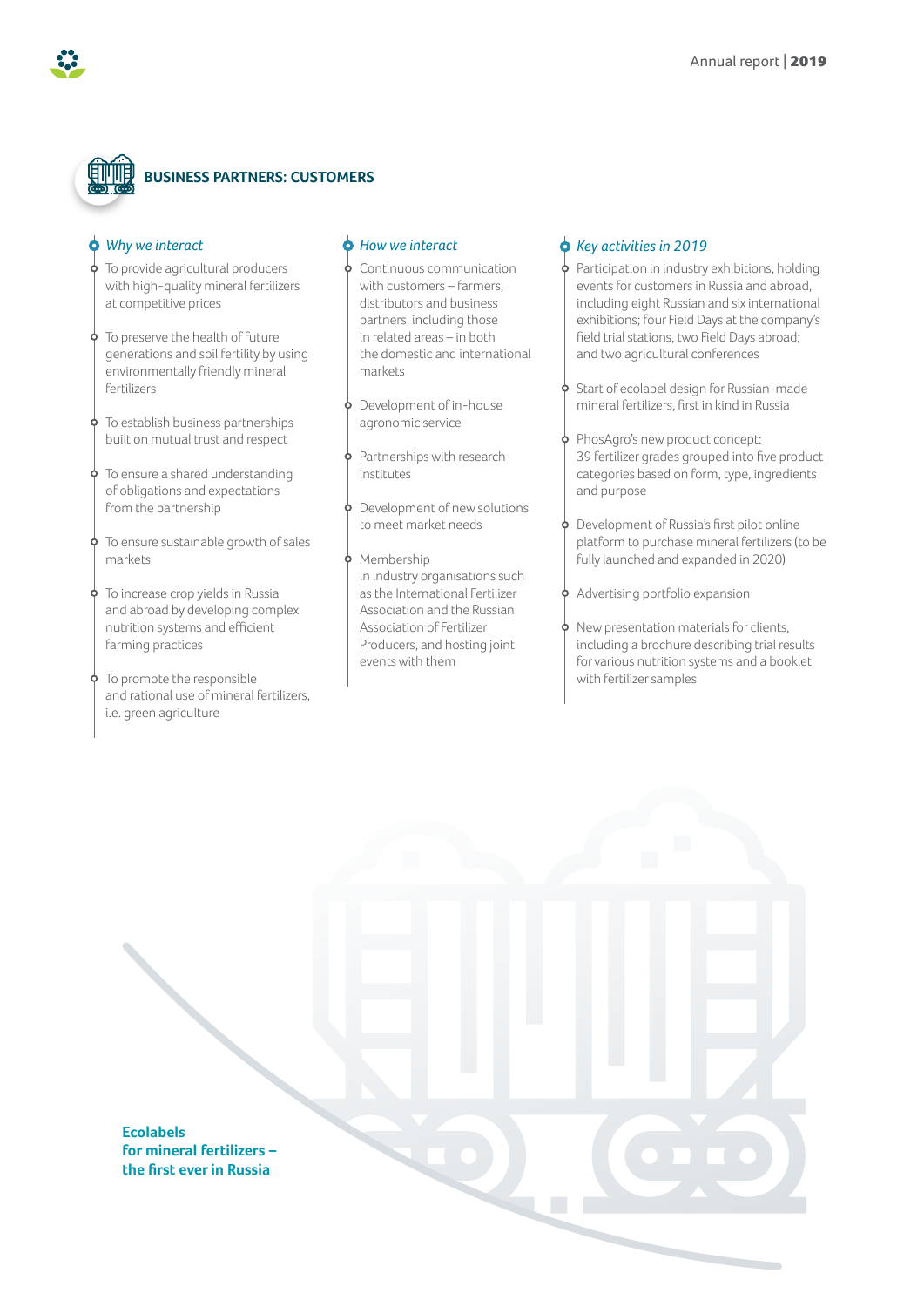

## **BUSINESS PARTNERS: CUSTOMERS**

#### *Why we interact*

- To provide agricultural producers with high-quality mineral fertilizers at competitive prices
- To preserve the health of future generations and soil fertility by using environmentally friendly mineral fertilizers
- To establish business partnerships built on mutual trust and respect
- To ensure a shared understanding of obligations and expectations from the partnership
- To ensure sustainable growth of sales markets
- To increase crop yields in Russia and abroad by developing complex nutrition systems and efficient farming practices
- To promote the responsible and rational use of mineral fertilizers, i.e. green agriculture

#### *How we interact*

- Continuous communication with customers – farmers, distributors and business partners, including those in related areas – in both the domestic and international markets
- Development of in-house agronomic service
- Partnerships with research institutes
- Development of new solutions to meet market needs
- Membership in industry organisations such as the International Fertilizer Association and the Russian Association of Fertilizer Producers, and hosting joint events with them

#### *Key activities in 2019*

- Participation in industry exhibitions, holding events for customers in Russia and abroad, including eight Russian and six international exhibitions; four Field Days at the company's field trial stations, two Field Days abroad; and two agricultural conferences
- Start of ecolabel design for Russian-made mineral fertilizers, first in kind in Russia
- PhosAgro's new product concept: 39 fertilizer grades grouped into five product categories based on form, type, ingredients and purpose
- Development of Russia's first pilot online Ò platform to purchase mineral fertilizers (to be fully launched and expanded in 2020)
- $\phi$  Advertising portfolio expansion
	- New presentation materials for clients, including a brochure describing trial results for various nutrition systems and a booklet with fertilizer samples

**Ecolabels for mineral fertilizers – the first ever in Russia**